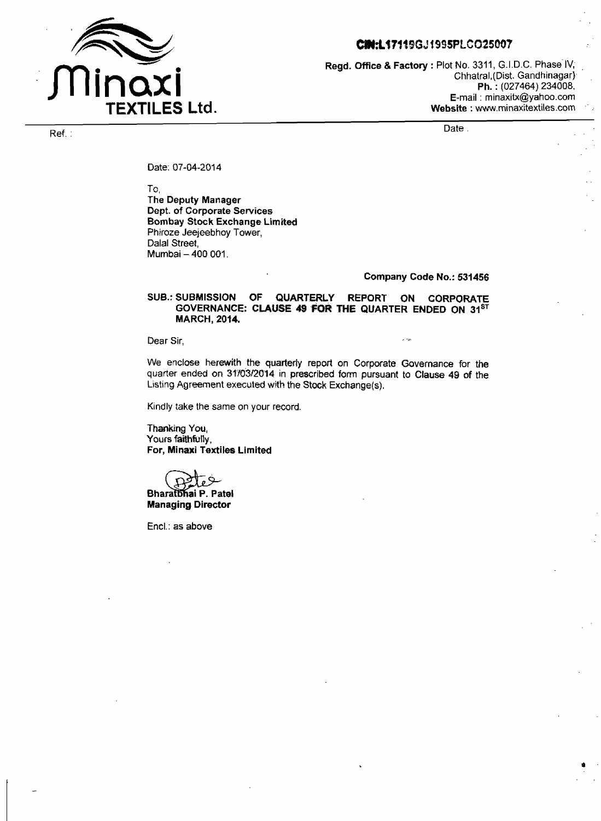

# CIN:L17119GJ1995PLCO25007

**Regd. Office** & **Factory** : Plot No. 3311, G.I.D.C. Phase- IV; Chhatral,(Dist. Gandhinagar) **Ph.** : (027464) 234008, E-mail : minaxitx@yahoo.com **Website** : www.rninaxitextiles.com

Date.

Ref. :

Date: 07-04-2014

To,

**The Deputy Manager Dept. of Corporate Services Bombay Stock Exchange Limited**  Phiroze Jeejeebhoy Tower, Dalal Street, Mumbai - **400** 001.

#### **Company Code No.: 531456**

### **SUB.: SUBMISSION OF QUARTERLY REPORT ON CORPORATE**  GOVERNANCE: CLAUSE 49 FOR THE QUARTER ENDED ON 31<sup>ST</sup> **MARCH, 2014.**

Dear Sir. , -.-

We enclose herewith the **quarterly** report on Corporate Governance for **the**  quarter ended on 31/03/2014 in prescribed form pursuant to Clause 49 of the Listing Agreement executed with **the Stock Exchange(s).** 

Kindly take the same on your record.

**Thanking You, Yours faithfully, For, Minaxi Textiles Limited**  Kindly take the same on yo<br> **Thanking You,<br>
Yours faithfully,<br>
<b>For, Minaxi Textiles Limit**<br> **Bharatbhai P. Patel<br>
Managing Director** 

**Managing Director** 

Encl.: **as** above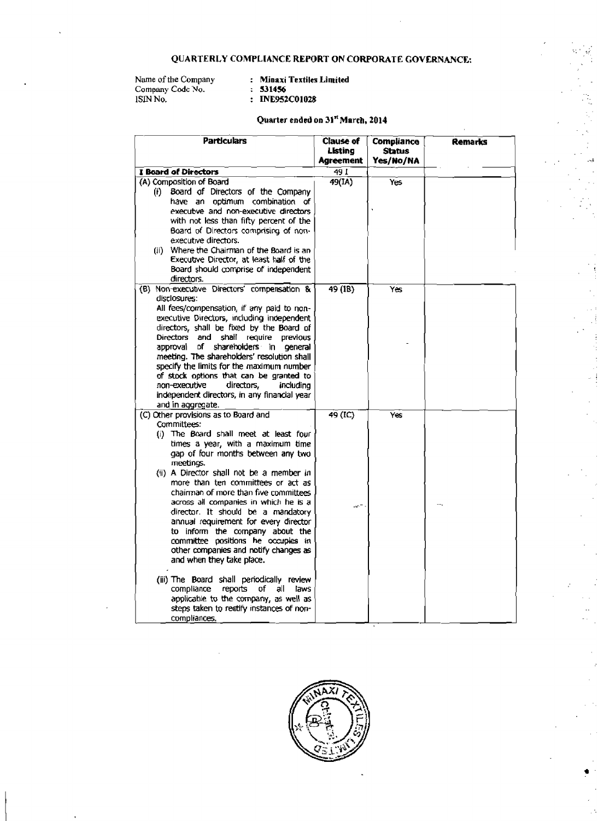## **QUARTERLY COMPLIANCE REPORT ON CORPORATE GOVERNANCE:**

Name of the Company **company**<br>Company Code No. **531456** 1SlN **No.** : **ME9StC01028** 

**Name** of **the Company** : **Mioaxi Textiles Limited** 

# **Quarter ended on 31" March, 2014**

ů,

| Particulars                                                                              | <b>Clause of</b><br>Listing<br>Agreement | Compliance<br>Status<br>Yes/No/NA | Remarks |
|------------------------------------------------------------------------------------------|------------------------------------------|-----------------------------------|---------|
| <b>I Board of Directors</b>                                                              | 49 L                                     |                                   |         |
| (A) Composition of Board                                                                 | 49(IA)                                   | Yes                               |         |
| Board of Directors of the Company<br>(f)                                                 |                                          |                                   |         |
| have an optimum combination of                                                           |                                          |                                   |         |
| executive and non-executive directors                                                    |                                          |                                   |         |
| with not less than fifty percent of the                                                  |                                          |                                   |         |
| Board of Directors comprising of non-                                                    |                                          |                                   |         |
| executive directors.                                                                     |                                          |                                   |         |
| (ii) Where the Chairman of the Board is an                                               |                                          |                                   |         |
| Executive Director, at least half of the                                                 |                                          |                                   |         |
| Board should comprise of independent                                                     |                                          |                                   |         |
| directors.<br>(B) Non-executive Directors' compensation &                                |                                          |                                   |         |
| disclosures:                                                                             | 49 (18)                                  | Yes                               |         |
| All fees/compensation, if any paid to non-                                               |                                          |                                   |         |
| executive Directors, including independent                                               |                                          |                                   |         |
| directors, shall be fixed by the Board of                                                |                                          |                                   |         |
| Directors and shall require previous                                                     |                                          |                                   |         |
| approval<br>Df.<br>shareholders in<br>general                                            |                                          |                                   |         |
| meeting. The shareholders' resolution shall                                              |                                          |                                   |         |
| specify the limits for the maximum number                                                |                                          |                                   |         |
| of stock options that can be granted to                                                  |                                          |                                   |         |
| directors,<br>non-executive<br>including<br>independent directors, in any financial year |                                          |                                   |         |
| and in aggregate.                                                                        |                                          |                                   |         |
| (C) Other provisions as to Board and                                                     | 49 (IC)                                  | Yes                               |         |
| Committees:                                                                              |                                          |                                   |         |
| (i) The Board shall meet at least four                                                   |                                          |                                   |         |
| times a year, with a maximum time                                                        |                                          |                                   |         |
| gap of four months between any two                                                       |                                          |                                   |         |
| meetings.                                                                                |                                          |                                   |         |
| (ii) A Director shall not be a member in                                                 |                                          |                                   |         |
| more than ten committees or act as                                                       |                                          |                                   |         |
| chairman of more than five committees                                                    |                                          |                                   |         |
| across all companies in which he is a<br>director. It should be a mandatory              | $\mathcal{W}^{\mathcal{C}}$              |                                   |         |
| annual requirement for every director                                                    |                                          |                                   |         |
| to inform the company about the                                                          |                                          |                                   |         |
| committee positions he occupies in                                                       |                                          |                                   |         |
| other companies and notify changes as                                                    |                                          |                                   |         |
| and when they take place.                                                                |                                          |                                   |         |
| (iii) The Board shall periodically review                                                |                                          |                                   |         |
| compliance<br>reports of all<br>laws                                                     |                                          |                                   |         |
| applicable to the company, as well as                                                    |                                          |                                   |         |
| steps taken to rectify instances of non-                                                 |                                          |                                   |         |
| compliances.                                                                             |                                          |                                   |         |

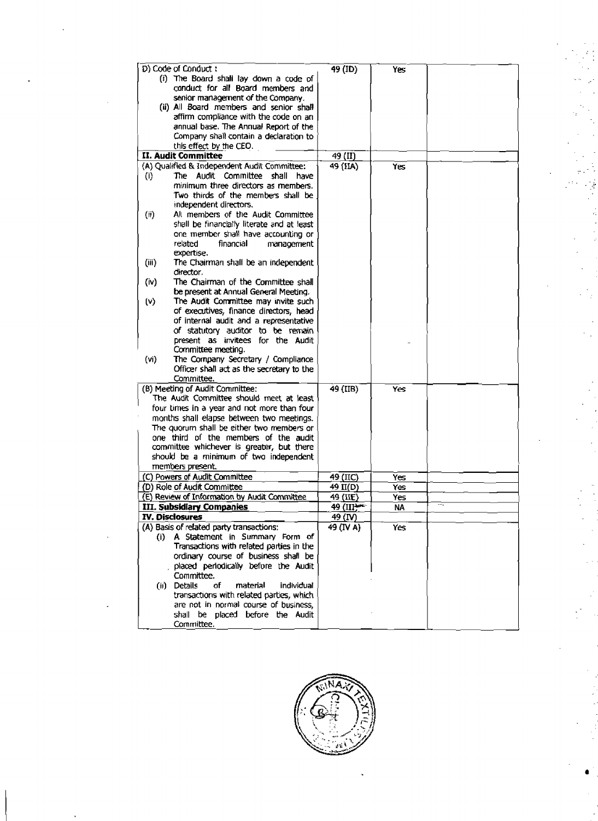| D) Code of Conduct:<br>$\overline{49}$ (ID)<br>Yes<br>(i) The Board shall lay down a code of<br>conduct for all Board members and<br>senior management of the Company.<br>(ii) All Board members and senior shall<br>affirm compliance with the code on an<br>annual base. The Annual Report of the<br>Company shall contain a declaration to<br>this effect by the CEO.<br><b>II. Audit Committee</b><br>49 (II)<br>(A) Qualified & Independent Audit Committee:<br>49 (IIA)<br><b>Yes</b><br>The Audit Committee shall have<br>(i)<br>minimum three directors as members.<br>Two thirds of the members shall be<br>independent directors.<br>All members of the Audit Committee<br>(i)<br>shall be financially literate and at least<br>one member shall have accounting or<br>related<br>financial<br>management<br>expertise.<br>(iii)<br>The Chairman shall be an independent<br>director.<br>The Chairman of the Committee shall<br>(iv)<br>be present at Annual General Meeting.<br>The Audit Committee may invite such<br>$\mathsf{(v)}$<br>of executives, finance directors, head<br>of internal audit and a representative<br>of statutory auditor to be remain<br>present as invitees for the Audit<br>Committee meeting.<br>The Company Secretary / Compliance<br>(vi)<br>Officer shall act as the secretary to the<br>Committee.<br>(B) Meeting of Audit Committee:<br>49 (IIB)<br>Yes<br>The Audit Committee should meet at least<br>four times in a year and not more than four<br>months shall elapse between two meetings.<br>The quorum shall be either two members or<br>one third of the members of the audit<br>committee whichever is greater, but there<br>should be a minimum of two independent<br>members present.<br>(C) Powers of Audit Committee<br>49 (IIC)<br>Yes<br>(D) Role of Audit Committee<br>49 II(D)<br>Yes<br>(E) Review of Information by Audit Committee<br>49 (IIE)<br>Yes<br>49 (III)<br>III. Subsidiary Companies<br>ΝA<br><b>IV. Disclosures</b><br><u>49 (IV)</u><br>(A) Basis of related party transactions:<br>49 (IV A)<br>Yes<br>(i) A Statement in Summary Form of<br>Transactions with related parties in the<br>ordinary course of business shall be<br>placed periodically before the Audit<br>Committee.<br>(ii) Details<br>of<br>material<br>individual<br>transactions with related parties, which<br>are not in normal course of business,<br>shall be placed before the Audit<br>Committee. |  |  |  |
|---------------------------------------------------------------------------------------------------------------------------------------------------------------------------------------------------------------------------------------------------------------------------------------------------------------------------------------------------------------------------------------------------------------------------------------------------------------------------------------------------------------------------------------------------------------------------------------------------------------------------------------------------------------------------------------------------------------------------------------------------------------------------------------------------------------------------------------------------------------------------------------------------------------------------------------------------------------------------------------------------------------------------------------------------------------------------------------------------------------------------------------------------------------------------------------------------------------------------------------------------------------------------------------------------------------------------------------------------------------------------------------------------------------------------------------------------------------------------------------------------------------------------------------------------------------------------------------------------------------------------------------------------------------------------------------------------------------------------------------------------------------------------------------------------------------------------------------------------------------------------------------------------------------------------------------------------------------------------------------------------------------------------------------------------------------------------------------------------------------------------------------------------------------------------------------------------------------------------------------------------------------------------------------------------------------------------------------------------------------------------------------------------------------------------------------------------------|--|--|--|
|                                                                                                                                                                                                                                                                                                                                                                                                                                                                                                                                                                                                                                                                                                                                                                                                                                                                                                                                                                                                                                                                                                                                                                                                                                                                                                                                                                                                                                                                                                                                                                                                                                                                                                                                                                                                                                                                                                                                                                                                                                                                                                                                                                                                                                                                                                                                                                                                                                                         |  |  |  |
|                                                                                                                                                                                                                                                                                                                                                                                                                                                                                                                                                                                                                                                                                                                                                                                                                                                                                                                                                                                                                                                                                                                                                                                                                                                                                                                                                                                                                                                                                                                                                                                                                                                                                                                                                                                                                                                                                                                                                                                                                                                                                                                                                                                                                                                                                                                                                                                                                                                         |  |  |  |
|                                                                                                                                                                                                                                                                                                                                                                                                                                                                                                                                                                                                                                                                                                                                                                                                                                                                                                                                                                                                                                                                                                                                                                                                                                                                                                                                                                                                                                                                                                                                                                                                                                                                                                                                                                                                                                                                                                                                                                                                                                                                                                                                                                                                                                                                                                                                                                                                                                                         |  |  |  |
|                                                                                                                                                                                                                                                                                                                                                                                                                                                                                                                                                                                                                                                                                                                                                                                                                                                                                                                                                                                                                                                                                                                                                                                                                                                                                                                                                                                                                                                                                                                                                                                                                                                                                                                                                                                                                                                                                                                                                                                                                                                                                                                                                                                                                                                                                                                                                                                                                                                         |  |  |  |
|                                                                                                                                                                                                                                                                                                                                                                                                                                                                                                                                                                                                                                                                                                                                                                                                                                                                                                                                                                                                                                                                                                                                                                                                                                                                                                                                                                                                                                                                                                                                                                                                                                                                                                                                                                                                                                                                                                                                                                                                                                                                                                                                                                                                                                                                                                                                                                                                                                                         |  |  |  |
|                                                                                                                                                                                                                                                                                                                                                                                                                                                                                                                                                                                                                                                                                                                                                                                                                                                                                                                                                                                                                                                                                                                                                                                                                                                                                                                                                                                                                                                                                                                                                                                                                                                                                                                                                                                                                                                                                                                                                                                                                                                                                                                                                                                                                                                                                                                                                                                                                                                         |  |  |  |
|                                                                                                                                                                                                                                                                                                                                                                                                                                                                                                                                                                                                                                                                                                                                                                                                                                                                                                                                                                                                                                                                                                                                                                                                                                                                                                                                                                                                                                                                                                                                                                                                                                                                                                                                                                                                                                                                                                                                                                                                                                                                                                                                                                                                                                                                                                                                                                                                                                                         |  |  |  |
|                                                                                                                                                                                                                                                                                                                                                                                                                                                                                                                                                                                                                                                                                                                                                                                                                                                                                                                                                                                                                                                                                                                                                                                                                                                                                                                                                                                                                                                                                                                                                                                                                                                                                                                                                                                                                                                                                                                                                                                                                                                                                                                                                                                                                                                                                                                                                                                                                                                         |  |  |  |
|                                                                                                                                                                                                                                                                                                                                                                                                                                                                                                                                                                                                                                                                                                                                                                                                                                                                                                                                                                                                                                                                                                                                                                                                                                                                                                                                                                                                                                                                                                                                                                                                                                                                                                                                                                                                                                                                                                                                                                                                                                                                                                                                                                                                                                                                                                                                                                                                                                                         |  |  |  |
|                                                                                                                                                                                                                                                                                                                                                                                                                                                                                                                                                                                                                                                                                                                                                                                                                                                                                                                                                                                                                                                                                                                                                                                                                                                                                                                                                                                                                                                                                                                                                                                                                                                                                                                                                                                                                                                                                                                                                                                                                                                                                                                                                                                                                                                                                                                                                                                                                                                         |  |  |  |
|                                                                                                                                                                                                                                                                                                                                                                                                                                                                                                                                                                                                                                                                                                                                                                                                                                                                                                                                                                                                                                                                                                                                                                                                                                                                                                                                                                                                                                                                                                                                                                                                                                                                                                                                                                                                                                                                                                                                                                                                                                                                                                                                                                                                                                                                                                                                                                                                                                                         |  |  |  |
|                                                                                                                                                                                                                                                                                                                                                                                                                                                                                                                                                                                                                                                                                                                                                                                                                                                                                                                                                                                                                                                                                                                                                                                                                                                                                                                                                                                                                                                                                                                                                                                                                                                                                                                                                                                                                                                                                                                                                                                                                                                                                                                                                                                                                                                                                                                                                                                                                                                         |  |  |  |
|                                                                                                                                                                                                                                                                                                                                                                                                                                                                                                                                                                                                                                                                                                                                                                                                                                                                                                                                                                                                                                                                                                                                                                                                                                                                                                                                                                                                                                                                                                                                                                                                                                                                                                                                                                                                                                                                                                                                                                                                                                                                                                                                                                                                                                                                                                                                                                                                                                                         |  |  |  |
|                                                                                                                                                                                                                                                                                                                                                                                                                                                                                                                                                                                                                                                                                                                                                                                                                                                                                                                                                                                                                                                                                                                                                                                                                                                                                                                                                                                                                                                                                                                                                                                                                                                                                                                                                                                                                                                                                                                                                                                                                                                                                                                                                                                                                                                                                                                                                                                                                                                         |  |  |  |
|                                                                                                                                                                                                                                                                                                                                                                                                                                                                                                                                                                                                                                                                                                                                                                                                                                                                                                                                                                                                                                                                                                                                                                                                                                                                                                                                                                                                                                                                                                                                                                                                                                                                                                                                                                                                                                                                                                                                                                                                                                                                                                                                                                                                                                                                                                                                                                                                                                                         |  |  |  |
|                                                                                                                                                                                                                                                                                                                                                                                                                                                                                                                                                                                                                                                                                                                                                                                                                                                                                                                                                                                                                                                                                                                                                                                                                                                                                                                                                                                                                                                                                                                                                                                                                                                                                                                                                                                                                                                                                                                                                                                                                                                                                                                                                                                                                                                                                                                                                                                                                                                         |  |  |  |
|                                                                                                                                                                                                                                                                                                                                                                                                                                                                                                                                                                                                                                                                                                                                                                                                                                                                                                                                                                                                                                                                                                                                                                                                                                                                                                                                                                                                                                                                                                                                                                                                                                                                                                                                                                                                                                                                                                                                                                                                                                                                                                                                                                                                                                                                                                                                                                                                                                                         |  |  |  |
|                                                                                                                                                                                                                                                                                                                                                                                                                                                                                                                                                                                                                                                                                                                                                                                                                                                                                                                                                                                                                                                                                                                                                                                                                                                                                                                                                                                                                                                                                                                                                                                                                                                                                                                                                                                                                                                                                                                                                                                                                                                                                                                                                                                                                                                                                                                                                                                                                                                         |  |  |  |
|                                                                                                                                                                                                                                                                                                                                                                                                                                                                                                                                                                                                                                                                                                                                                                                                                                                                                                                                                                                                                                                                                                                                                                                                                                                                                                                                                                                                                                                                                                                                                                                                                                                                                                                                                                                                                                                                                                                                                                                                                                                                                                                                                                                                                                                                                                                                                                                                                                                         |  |  |  |
|                                                                                                                                                                                                                                                                                                                                                                                                                                                                                                                                                                                                                                                                                                                                                                                                                                                                                                                                                                                                                                                                                                                                                                                                                                                                                                                                                                                                                                                                                                                                                                                                                                                                                                                                                                                                                                                                                                                                                                                                                                                                                                                                                                                                                                                                                                                                                                                                                                                         |  |  |  |
|                                                                                                                                                                                                                                                                                                                                                                                                                                                                                                                                                                                                                                                                                                                                                                                                                                                                                                                                                                                                                                                                                                                                                                                                                                                                                                                                                                                                                                                                                                                                                                                                                                                                                                                                                                                                                                                                                                                                                                                                                                                                                                                                                                                                                                                                                                                                                                                                                                                         |  |  |  |
|                                                                                                                                                                                                                                                                                                                                                                                                                                                                                                                                                                                                                                                                                                                                                                                                                                                                                                                                                                                                                                                                                                                                                                                                                                                                                                                                                                                                                                                                                                                                                                                                                                                                                                                                                                                                                                                                                                                                                                                                                                                                                                                                                                                                                                                                                                                                                                                                                                                         |  |  |  |
|                                                                                                                                                                                                                                                                                                                                                                                                                                                                                                                                                                                                                                                                                                                                                                                                                                                                                                                                                                                                                                                                                                                                                                                                                                                                                                                                                                                                                                                                                                                                                                                                                                                                                                                                                                                                                                                                                                                                                                                                                                                                                                                                                                                                                                                                                                                                                                                                                                                         |  |  |  |
|                                                                                                                                                                                                                                                                                                                                                                                                                                                                                                                                                                                                                                                                                                                                                                                                                                                                                                                                                                                                                                                                                                                                                                                                                                                                                                                                                                                                                                                                                                                                                                                                                                                                                                                                                                                                                                                                                                                                                                                                                                                                                                                                                                                                                                                                                                                                                                                                                                                         |  |  |  |
|                                                                                                                                                                                                                                                                                                                                                                                                                                                                                                                                                                                                                                                                                                                                                                                                                                                                                                                                                                                                                                                                                                                                                                                                                                                                                                                                                                                                                                                                                                                                                                                                                                                                                                                                                                                                                                                                                                                                                                                                                                                                                                                                                                                                                                                                                                                                                                                                                                                         |  |  |  |
|                                                                                                                                                                                                                                                                                                                                                                                                                                                                                                                                                                                                                                                                                                                                                                                                                                                                                                                                                                                                                                                                                                                                                                                                                                                                                                                                                                                                                                                                                                                                                                                                                                                                                                                                                                                                                                                                                                                                                                                                                                                                                                                                                                                                                                                                                                                                                                                                                                                         |  |  |  |
|                                                                                                                                                                                                                                                                                                                                                                                                                                                                                                                                                                                                                                                                                                                                                                                                                                                                                                                                                                                                                                                                                                                                                                                                                                                                                                                                                                                                                                                                                                                                                                                                                                                                                                                                                                                                                                                                                                                                                                                                                                                                                                                                                                                                                                                                                                                                                                                                                                                         |  |  |  |
|                                                                                                                                                                                                                                                                                                                                                                                                                                                                                                                                                                                                                                                                                                                                                                                                                                                                                                                                                                                                                                                                                                                                                                                                                                                                                                                                                                                                                                                                                                                                                                                                                                                                                                                                                                                                                                                                                                                                                                                                                                                                                                                                                                                                                                                                                                                                                                                                                                                         |  |  |  |
|                                                                                                                                                                                                                                                                                                                                                                                                                                                                                                                                                                                                                                                                                                                                                                                                                                                                                                                                                                                                                                                                                                                                                                                                                                                                                                                                                                                                                                                                                                                                                                                                                                                                                                                                                                                                                                                                                                                                                                                                                                                                                                                                                                                                                                                                                                                                                                                                                                                         |  |  |  |
|                                                                                                                                                                                                                                                                                                                                                                                                                                                                                                                                                                                                                                                                                                                                                                                                                                                                                                                                                                                                                                                                                                                                                                                                                                                                                                                                                                                                                                                                                                                                                                                                                                                                                                                                                                                                                                                                                                                                                                                                                                                                                                                                                                                                                                                                                                                                                                                                                                                         |  |  |  |
|                                                                                                                                                                                                                                                                                                                                                                                                                                                                                                                                                                                                                                                                                                                                                                                                                                                                                                                                                                                                                                                                                                                                                                                                                                                                                                                                                                                                                                                                                                                                                                                                                                                                                                                                                                                                                                                                                                                                                                                                                                                                                                                                                                                                                                                                                                                                                                                                                                                         |  |  |  |
|                                                                                                                                                                                                                                                                                                                                                                                                                                                                                                                                                                                                                                                                                                                                                                                                                                                                                                                                                                                                                                                                                                                                                                                                                                                                                                                                                                                                                                                                                                                                                                                                                                                                                                                                                                                                                                                                                                                                                                                                                                                                                                                                                                                                                                                                                                                                                                                                                                                         |  |  |  |
|                                                                                                                                                                                                                                                                                                                                                                                                                                                                                                                                                                                                                                                                                                                                                                                                                                                                                                                                                                                                                                                                                                                                                                                                                                                                                                                                                                                                                                                                                                                                                                                                                                                                                                                                                                                                                                                                                                                                                                                                                                                                                                                                                                                                                                                                                                                                                                                                                                                         |  |  |  |
|                                                                                                                                                                                                                                                                                                                                                                                                                                                                                                                                                                                                                                                                                                                                                                                                                                                                                                                                                                                                                                                                                                                                                                                                                                                                                                                                                                                                                                                                                                                                                                                                                                                                                                                                                                                                                                                                                                                                                                                                                                                                                                                                                                                                                                                                                                                                                                                                                                                         |  |  |  |
|                                                                                                                                                                                                                                                                                                                                                                                                                                                                                                                                                                                                                                                                                                                                                                                                                                                                                                                                                                                                                                                                                                                                                                                                                                                                                                                                                                                                                                                                                                                                                                                                                                                                                                                                                                                                                                                                                                                                                                                                                                                                                                                                                                                                                                                                                                                                                                                                                                                         |  |  |  |
|                                                                                                                                                                                                                                                                                                                                                                                                                                                                                                                                                                                                                                                                                                                                                                                                                                                                                                                                                                                                                                                                                                                                                                                                                                                                                                                                                                                                                                                                                                                                                                                                                                                                                                                                                                                                                                                                                                                                                                                                                                                                                                                                                                                                                                                                                                                                                                                                                                                         |  |  |  |
|                                                                                                                                                                                                                                                                                                                                                                                                                                                                                                                                                                                                                                                                                                                                                                                                                                                                                                                                                                                                                                                                                                                                                                                                                                                                                                                                                                                                                                                                                                                                                                                                                                                                                                                                                                                                                                                                                                                                                                                                                                                                                                                                                                                                                                                                                                                                                                                                                                                         |  |  |  |
|                                                                                                                                                                                                                                                                                                                                                                                                                                                                                                                                                                                                                                                                                                                                                                                                                                                                                                                                                                                                                                                                                                                                                                                                                                                                                                                                                                                                                                                                                                                                                                                                                                                                                                                                                                                                                                                                                                                                                                                                                                                                                                                                                                                                                                                                                                                                                                                                                                                         |  |  |  |
|                                                                                                                                                                                                                                                                                                                                                                                                                                                                                                                                                                                                                                                                                                                                                                                                                                                                                                                                                                                                                                                                                                                                                                                                                                                                                                                                                                                                                                                                                                                                                                                                                                                                                                                                                                                                                                                                                                                                                                                                                                                                                                                                                                                                                                                                                                                                                                                                                                                         |  |  |  |
|                                                                                                                                                                                                                                                                                                                                                                                                                                                                                                                                                                                                                                                                                                                                                                                                                                                                                                                                                                                                                                                                                                                                                                                                                                                                                                                                                                                                                                                                                                                                                                                                                                                                                                                                                                                                                                                                                                                                                                                                                                                                                                                                                                                                                                                                                                                                                                                                                                                         |  |  |  |
|                                                                                                                                                                                                                                                                                                                                                                                                                                                                                                                                                                                                                                                                                                                                                                                                                                                                                                                                                                                                                                                                                                                                                                                                                                                                                                                                                                                                                                                                                                                                                                                                                                                                                                                                                                                                                                                                                                                                                                                                                                                                                                                                                                                                                                                                                                                                                                                                                                                         |  |  |  |
|                                                                                                                                                                                                                                                                                                                                                                                                                                                                                                                                                                                                                                                                                                                                                                                                                                                                                                                                                                                                                                                                                                                                                                                                                                                                                                                                                                                                                                                                                                                                                                                                                                                                                                                                                                                                                                                                                                                                                                                                                                                                                                                                                                                                                                                                                                                                                                                                                                                         |  |  |  |
|                                                                                                                                                                                                                                                                                                                                                                                                                                                                                                                                                                                                                                                                                                                                                                                                                                                                                                                                                                                                                                                                                                                                                                                                                                                                                                                                                                                                                                                                                                                                                                                                                                                                                                                                                                                                                                                                                                                                                                                                                                                                                                                                                                                                                                                                                                                                                                                                                                                         |  |  |  |
|                                                                                                                                                                                                                                                                                                                                                                                                                                                                                                                                                                                                                                                                                                                                                                                                                                                                                                                                                                                                                                                                                                                                                                                                                                                                                                                                                                                                                                                                                                                                                                                                                                                                                                                                                                                                                                                                                                                                                                                                                                                                                                                                                                                                                                                                                                                                                                                                                                                         |  |  |  |
|                                                                                                                                                                                                                                                                                                                                                                                                                                                                                                                                                                                                                                                                                                                                                                                                                                                                                                                                                                                                                                                                                                                                                                                                                                                                                                                                                                                                                                                                                                                                                                                                                                                                                                                                                                                                                                                                                                                                                                                                                                                                                                                                                                                                                                                                                                                                                                                                                                                         |  |  |  |
|                                                                                                                                                                                                                                                                                                                                                                                                                                                                                                                                                                                                                                                                                                                                                                                                                                                                                                                                                                                                                                                                                                                                                                                                                                                                                                                                                                                                                                                                                                                                                                                                                                                                                                                                                                                                                                                                                                                                                                                                                                                                                                                                                                                                                                                                                                                                                                                                                                                         |  |  |  |
|                                                                                                                                                                                                                                                                                                                                                                                                                                                                                                                                                                                                                                                                                                                                                                                                                                                                                                                                                                                                                                                                                                                                                                                                                                                                                                                                                                                                                                                                                                                                                                                                                                                                                                                                                                                                                                                                                                                                                                                                                                                                                                                                                                                                                                                                                                                                                                                                                                                         |  |  |  |
|                                                                                                                                                                                                                                                                                                                                                                                                                                                                                                                                                                                                                                                                                                                                                                                                                                                                                                                                                                                                                                                                                                                                                                                                                                                                                                                                                                                                                                                                                                                                                                                                                                                                                                                                                                                                                                                                                                                                                                                                                                                                                                                                                                                                                                                                                                                                                                                                                                                         |  |  |  |
|                                                                                                                                                                                                                                                                                                                                                                                                                                                                                                                                                                                                                                                                                                                                                                                                                                                                                                                                                                                                                                                                                                                                                                                                                                                                                                                                                                                                                                                                                                                                                                                                                                                                                                                                                                                                                                                                                                                                                                                                                                                                                                                                                                                                                                                                                                                                                                                                                                                         |  |  |  |
|                                                                                                                                                                                                                                                                                                                                                                                                                                                                                                                                                                                                                                                                                                                                                                                                                                                                                                                                                                                                                                                                                                                                                                                                                                                                                                                                                                                                                                                                                                                                                                                                                                                                                                                                                                                                                                                                                                                                                                                                                                                                                                                                                                                                                                                                                                                                                                                                                                                         |  |  |  |
|                                                                                                                                                                                                                                                                                                                                                                                                                                                                                                                                                                                                                                                                                                                                                                                                                                                                                                                                                                                                                                                                                                                                                                                                                                                                                                                                                                                                                                                                                                                                                                                                                                                                                                                                                                                                                                                                                                                                                                                                                                                                                                                                                                                                                                                                                                                                                                                                                                                         |  |  |  |
|                                                                                                                                                                                                                                                                                                                                                                                                                                                                                                                                                                                                                                                                                                                                                                                                                                                                                                                                                                                                                                                                                                                                                                                                                                                                                                                                                                                                                                                                                                                                                                                                                                                                                                                                                                                                                                                                                                                                                                                                                                                                                                                                                                                                                                                                                                                                                                                                                                                         |  |  |  |
|                                                                                                                                                                                                                                                                                                                                                                                                                                                                                                                                                                                                                                                                                                                                                                                                                                                                                                                                                                                                                                                                                                                                                                                                                                                                                                                                                                                                                                                                                                                                                                                                                                                                                                                                                                                                                                                                                                                                                                                                                                                                                                                                                                                                                                                                                                                                                                                                                                                         |  |  |  |
|                                                                                                                                                                                                                                                                                                                                                                                                                                                                                                                                                                                                                                                                                                                                                                                                                                                                                                                                                                                                                                                                                                                                                                                                                                                                                                                                                                                                                                                                                                                                                                                                                                                                                                                                                                                                                                                                                                                                                                                                                                                                                                                                                                                                                                                                                                                                                                                                                                                         |  |  |  |
|                                                                                                                                                                                                                                                                                                                                                                                                                                                                                                                                                                                                                                                                                                                                                                                                                                                                                                                                                                                                                                                                                                                                                                                                                                                                                                                                                                                                                                                                                                                                                                                                                                                                                                                                                                                                                                                                                                                                                                                                                                                                                                                                                                                                                                                                                                                                                                                                                                                         |  |  |  |
|                                                                                                                                                                                                                                                                                                                                                                                                                                                                                                                                                                                                                                                                                                                                                                                                                                                                                                                                                                                                                                                                                                                                                                                                                                                                                                                                                                                                                                                                                                                                                                                                                                                                                                                                                                                                                                                                                                                                                                                                                                                                                                                                                                                                                                                                                                                                                                                                                                                         |  |  |  |
|                                                                                                                                                                                                                                                                                                                                                                                                                                                                                                                                                                                                                                                                                                                                                                                                                                                                                                                                                                                                                                                                                                                                                                                                                                                                                                                                                                                                                                                                                                                                                                                                                                                                                                                                                                                                                                                                                                                                                                                                                                                                                                                                                                                                                                                                                                                                                                                                                                                         |  |  |  |
|                                                                                                                                                                                                                                                                                                                                                                                                                                                                                                                                                                                                                                                                                                                                                                                                                                                                                                                                                                                                                                                                                                                                                                                                                                                                                                                                                                                                                                                                                                                                                                                                                                                                                                                                                                                                                                                                                                                                                                                                                                                                                                                                                                                                                                                                                                                                                                                                                                                         |  |  |  |
|                                                                                                                                                                                                                                                                                                                                                                                                                                                                                                                                                                                                                                                                                                                                                                                                                                                                                                                                                                                                                                                                                                                                                                                                                                                                                                                                                                                                                                                                                                                                                                                                                                                                                                                                                                                                                                                                                                                                                                                                                                                                                                                                                                                                                                                                                                                                                                                                                                                         |  |  |  |
|                                                                                                                                                                                                                                                                                                                                                                                                                                                                                                                                                                                                                                                                                                                                                                                                                                                                                                                                                                                                                                                                                                                                                                                                                                                                                                                                                                                                                                                                                                                                                                                                                                                                                                                                                                                                                                                                                                                                                                                                                                                                                                                                                                                                                                                                                                                                                                                                                                                         |  |  |  |
|                                                                                                                                                                                                                                                                                                                                                                                                                                                                                                                                                                                                                                                                                                                                                                                                                                                                                                                                                                                                                                                                                                                                                                                                                                                                                                                                                                                                                                                                                                                                                                                                                                                                                                                                                                                                                                                                                                                                                                                                                                                                                                                                                                                                                                                                                                                                                                                                                                                         |  |  |  |
|                                                                                                                                                                                                                                                                                                                                                                                                                                                                                                                                                                                                                                                                                                                                                                                                                                                                                                                                                                                                                                                                                                                                                                                                                                                                                                                                                                                                                                                                                                                                                                                                                                                                                                                                                                                                                                                                                                                                                                                                                                                                                                                                                                                                                                                                                                                                                                                                                                                         |  |  |  |
|                                                                                                                                                                                                                                                                                                                                                                                                                                                                                                                                                                                                                                                                                                                                                                                                                                                                                                                                                                                                                                                                                                                                                                                                                                                                                                                                                                                                                                                                                                                                                                                                                                                                                                                                                                                                                                                                                                                                                                                                                                                                                                                                                                                                                                                                                                                                                                                                                                                         |  |  |  |
|                                                                                                                                                                                                                                                                                                                                                                                                                                                                                                                                                                                                                                                                                                                                                                                                                                                                                                                                                                                                                                                                                                                                                                                                                                                                                                                                                                                                                                                                                                                                                                                                                                                                                                                                                                                                                                                                                                                                                                                                                                                                                                                                                                                                                                                                                                                                                                                                                                                         |  |  |  |